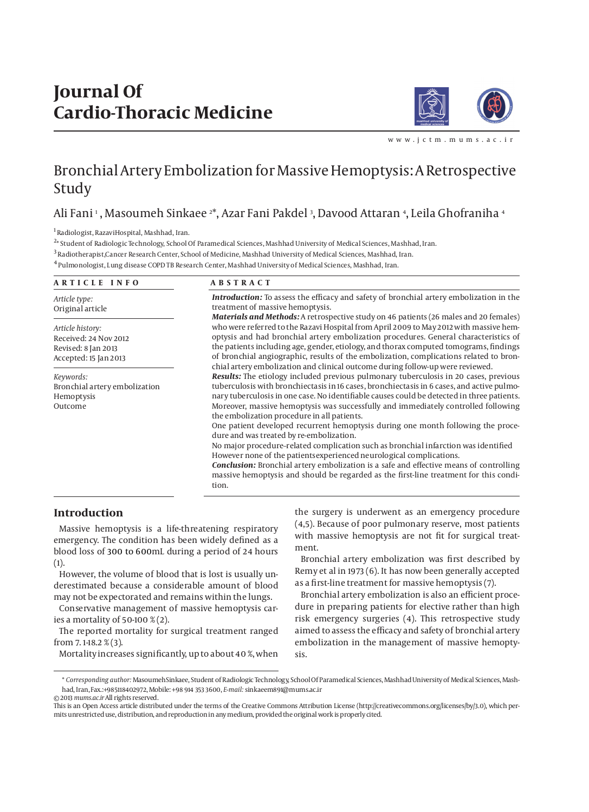# **Journal Of Cardio-Thoracic Medicine**



www.ictm.mums.ac.

## Bronchial Artery Embolization for Massive Hemoptysis: A Retrospective Study

### Ali Fani 1 , Masoumeh Sinkaee 2\*, Azar Fani Pakdel 3, Davood Attaran 4, Leila Ghofraniha 4

1 Radiologist, RazaviHospital, Mashhad, Iran.

2 \* Student of Radiologic Technology, School Of Paramedical Sciences, Mashhad University of Medical Sciences, Mashhad, Iran.

3 Radiotherapist,Cancer Research Center, School of Medicine, Mashhad University of Medical Sciences, Mashhad, Iran.

4 Pulmonologist, Lung disease COPD TB Research Center, Mashhad University of Medical Sciences, Mashhad, Iran.

| ARTICLE INFO                                                                              | <b>ABSTRACT</b>                                                                                                                                                                                                                                                                                                                                                                                                                                                                                                                                                                                                                                                                                                                                                                                                                                                                                                         |  |
|-------------------------------------------------------------------------------------------|-------------------------------------------------------------------------------------------------------------------------------------------------------------------------------------------------------------------------------------------------------------------------------------------------------------------------------------------------------------------------------------------------------------------------------------------------------------------------------------------------------------------------------------------------------------------------------------------------------------------------------------------------------------------------------------------------------------------------------------------------------------------------------------------------------------------------------------------------------------------------------------------------------------------------|--|
| Article type:<br>Original article                                                         | <b>Introduction:</b> To assess the efficacy and safety of bronchial artery embolization in the<br>treatment of massive hemoptysis.                                                                                                                                                                                                                                                                                                                                                                                                                                                                                                                                                                                                                                                                                                                                                                                      |  |
| Article history:<br>Received: 24 Nov 2012<br>Revised: 8 Jan 2013<br>Accepted: 15 Jan 2013 | Materials and Methods: A retrospective study on 46 patients (26 males and 20 females)<br>who were referred to the Razavi Hospital from April 2009 to May 2012 with massive hem-<br>optysis and had bronchial artery embolization procedures. General characteristics of<br>the patients including age, gender, etiology, and thorax computed tomograms, findings<br>of bronchial angiographic, results of the embolization, complications related to bron-<br>chial artery embolization and clinical outcome during follow-up were reviewed.                                                                                                                                                                                                                                                                                                                                                                            |  |
| Keywords:<br>Bronchial artery embolization<br>Hemoptysis<br>Outcome                       | Results: The etiology included previous pulmonary tuberculosis in 20 cases, previous<br>tuberculosis with bronchiectasis in 16 cases, bronchiectasis in 6 cases, and active pulmo-<br>nary tuberculosis in one case. No identifiable causes could be detected in three patients.<br>Moreover, massive hemoptysis was successfully and immediately controlled following<br>the embolization procedure in all patients.<br>One patient developed recurrent hemoptysis during one month following the proce-<br>dure and was treated by re-embolization.<br>No major procedure-related complication such as bronchial infarction was identified<br>However none of the patients experienced neurological complications.<br><b>Conclusion:</b> Bronchial artery embolization is a safe and effective means of controlling<br>massive hemoptysis and should be regarded as the first-line treatment for this condi-<br>tion. |  |

#### **Introduction**

Massive hemoptysis is a life-threatening respiratory emergency. The condition has been widely defined as a blood loss of 300 to 600mL during a period of 24 hours  $(1).$ 

However, the volume of blood that is lost is usually underestimated because a considerable amount of blood may not be expectorated and remains within the lungs.

Conservative management of massive hemoptysis caries a mortality of 50-100 % (2).

The reported mortality for surgical treatment ranged from 7. 1-18.2 % (3).

Mortality increases significantly, up to about 40 %, when

the surgery is underwent as an emergency procedure (4,5). Because of poor pulmonary reserve, most patients with massive hemoptysis are not fit for surgical treatment.

Bronchial artery embolization was first described by Remy et al in 1973 (6). It has now been generally accepted as a first-line treatment for massive hemoptysis (7).

Bronchial artery embolization is also an efficient procedure in preparing patients for elective rather than high risk emergency surgeries (4). This retrospective study aimed to assess the efficacy and safety of bronchial artery embolization in the management of massive hemoptysis.

<sup>\*</sup> *Corresponding author:* MasoumehSinkaee, Student of Radiologic Technology, School Of Paramedical Sciences, Mashhad University of Medical Sciences, Mashhad, Iran, Fax.:+985118402972, Mobile: +98 914 353 3600, *E-mail:* sinkaeem891@mums.ac.ir © 2013 *mums.ac.ir* All rights reserved.

This is an Open Access article distributed under the terms of the Creative Commons Attribution License (http://creativecommons.org/licenses/by/3.0), which permits unrestricted use, distribution, and reproduction in any medium, provided the original work is properly cited.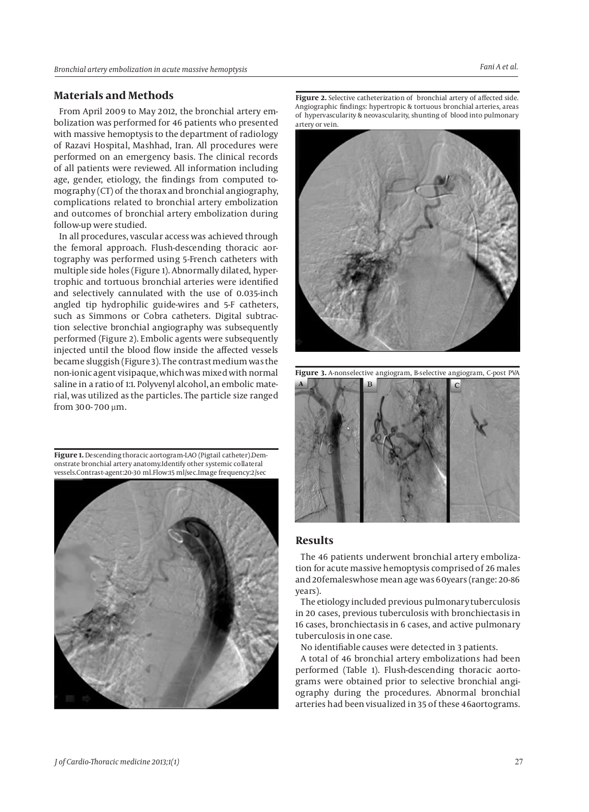#### **Materials and Methods**

From April 2009 to May 2012, the bronchial artery embolization was performed for 46 patients who presented with massive hemoptysis to the department of radiology of Razavi Hospital, Mashhad, Iran. All procedures were performed on an emergency basis. The clinical records of all patients were reviewed. All information including age, gender, etiology, the findings from computed tomography (CT) of the thorax and bronchial angiography, complications related to bronchial artery embolization and outcomes of bronchial artery embolization during follow-up were studied.

In all procedures, vascular access was achieved through the femoral approach. Flush-descending thoracic aortography was performed using 5-French catheters with multiple side holes (Figure 1). Abnormally dilated, hypertrophic and tortuous bronchial arteries were identified and selectively cannulated with the use of 0.035-inch angled tip hydrophilic guide-wires and 5-F catheters, such as Simmons or Cobra catheters. Digital subtraction selective bronchial angiography was subsequently performed (Figure 2). Embolic agents were subsequently injected until the blood flow inside the affected vessels became sluggish (Figure 3). The contrast medium was the non-ionic agent visipaque, which was mixed with normal saline in a ratio of 1:1. Polyvenyl alcohol, an embolic material, was utilized as the particles. The particle size ranged from 300- 700 µm.

**Figure 1.** Descending thoracic aortogram-LAO (Pigtail catheter).Demonstrate bronchial artery anatomy.Identify other systemic collateral vessels.Contrast-agent:20-30 ml.Flow:15 ml/sec.Image frequency:2/sec



**Figure 2.** Selective catheterization of bronchial artery of affected side. Angiographic findings: hypertropic & tortuous bronchial arteries, areas of hypervascularity & neovascularity, shunting of blood into pulmonary artery or vein.



**Figure 3.** A-nonselective angiogram, B-selective angiogram, C-post PVA

#### **Results**

The 46 patients underwent bronchial artery embolization for acute massive hemoptysis comprised of 26 males and 20femaleswhose mean age was 60years (range: 20-86 years).

The etiology included previous pulmonary tuberculosis in 20 cases, previous tuberculosis with bronchiectasis in 16 cases, bronchiectasis in 6 cases, and active pulmonary tuberculosis in one case.

No identifiable causes were detected in 3 patients.

A total of 46 bronchial artery embolizations had been performed (Table 1). Flush-descending thoracic aortograms were obtained prior to selective bronchial angiography during the procedures. Abnormal bronchial arteries had been visualized in 35 of these 46aortograms.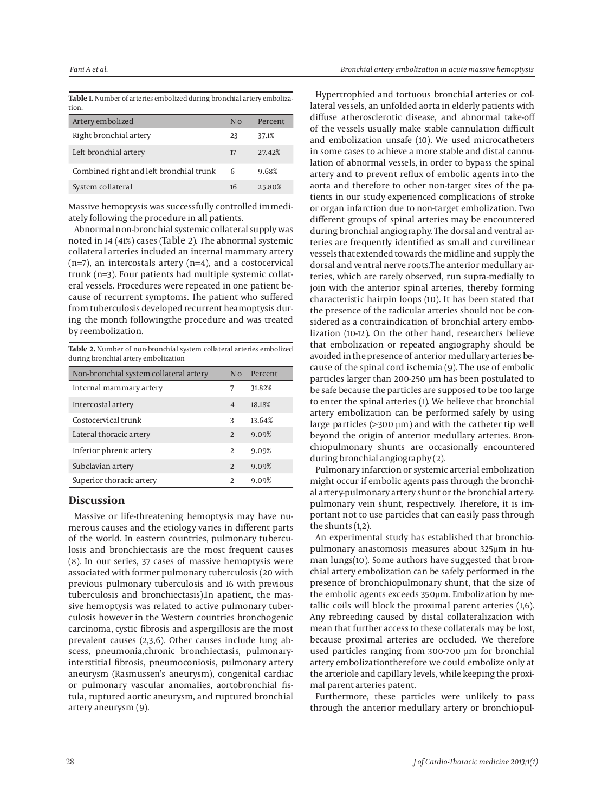**Table 1.** Number of arteries embolized during bronchial artery embolization.

| Artery embolized                        | Nο | Percent |
|-----------------------------------------|----|---------|
| Right bronchial artery                  | 23 | 37.1%   |
| Left bronchial artery                   | 17 | 27.42%  |
| Combined right and left bronchial trunk | -6 | 9.68%   |
| System collateral                       | 16 | 25.80%  |

Massive hemoptysis was successfully controlled immediately following the procedure in all patients.

Abnormal non-bronchial systemic collateral supply was noted in 14 (41%) cases (Table 2). The abnormal systemic collateral arteries included an internal mammary artery (n=7), an intercostals artery (n=4), and a costocervical trunk (n=3). Four patients had multiple systemic collateral vessels. Procedures were repeated in one patient because of recurrent symptoms. The patient who suffered from tuberculosis developed recurrent heamoptysis during the month followingthe procedure and was treated by reembolization.

**Table 2.** Number of non-bronchial system collateral arteries embolized during bronchial artery embolization

| Percent |
|---------|
| 31.82%  |
| 18.18%  |
| 13.64%  |
| 9.09%   |
| 9.09%   |
| 9.09%   |
| 9.09%   |
|         |

#### **Discussion**

Massive or life-threatening hemoptysis may have numerous causes and the etiology varies in different parts of the world. In eastern countries, pulmonary tuberculosis and bronchiectasis are the most frequent causes (8). In our series, 37 cases of massive hemoptysis were associated with former pulmonary tuberculosis (20 with previous pulmonary tuberculosis and 16 with previous tuberculosis and bronchiectasis).In apatient, the massive hemoptysis was related to active pulmonary tuberculosis however in the Western countries bronchogenic carcinoma, cystic fibrosis and aspergillosis are the most prevalent causes (2,3,6). Other causes include lung abscess, pneumonia,chronic bronchiectasis, pulmonaryinterstitial fibrosis, pneumoconiosis, pulmonary artery aneurysm (Rasmussen's aneurysm), congenital cardiac or pulmonary vascular anomalies, aortobronchial fistula, ruptured aortic aneurysm, and ruptured bronchial artery aneurysm (9).

Hypertrophied and tortuous bronchial arteries or collateral vessels, an unfolded aorta in elderly patients with diffuse atherosclerotic disease, and abnormal take-off of the vessels usually make stable cannulation difficult and embolization unsafe (10). We used microcatheters in some cases to achieve a more stable and distal cannulation of abnormal vessels, in order to bypass the spinal artery and to prevent reflux of embolic agents into the aorta and therefore to other non-target sites of the patients in our study experienced complications of stroke or organ infarction due to non-target embolization. Two different groups of spinal arteries may be encountered during bronchial angiography. The dorsal and ventral arteries are frequently identified as small and curvilinear vessels that extended towards the midline and supply the dorsal and ventral nerve roots.The anterior medullary arteries, which are rarely observed, run supra-medially to join with the anterior spinal arteries, thereby forming characteristic hairpin loops (10). It has been stated that the presence of the radicular arteries should not be considered as a contraindication of bronchial artery embolization (10-12). On the other hand, researchers believe that embolization or repeated angiography should be avoided in the presence of anterior medullary arteries because of the spinal cord ischemia (9). The use of embolic particles larger than 200-250 µm has been postulated to be safe because the particles are supposed to be too large to enter the spinal arteries (1). We believe that bronchial artery embolization can be performed safely by using large particles ( $>$ 300  $\mu$ m) and with the catheter tip well beyond the origin of anterior medullary arteries. Bronchiopulmonary shunts are occasionally encountered during bronchial angiography (2).

Pulmonary infarction or systemic arterial embolization might occur if embolic agents pass through the bronchial artery-pulmonary artery shunt or the bronchial arterypulmonary vein shunt, respectively. Therefore, it is important not to use particles that can easily pass through the shunts (1,2).

An experimental study has established that bronchiopulmonary anastomosis measures about 325µm in human lungs(10). Some authors have suggested that bronchial artery embolization can be safely performed in the presence of bronchiopulmonary shunt, that the size of the embolic agents exceeds 350µm. Embolization by metallic coils will block the proximal parent arteries (1,6). Any rebreeding caused by distal collateralization with mean that further access to these collaterals may be lost, because proximal arteries are occluded. We therefore used particles ranging from 300-700 µm for bronchial artery embolizationtherefore we could embolize only at the arteriole and capillary levels, while keeping the proximal parent arteries patent.

Furthermore, these particles were unlikely to pass through the anterior medullary artery or bronchiopul-